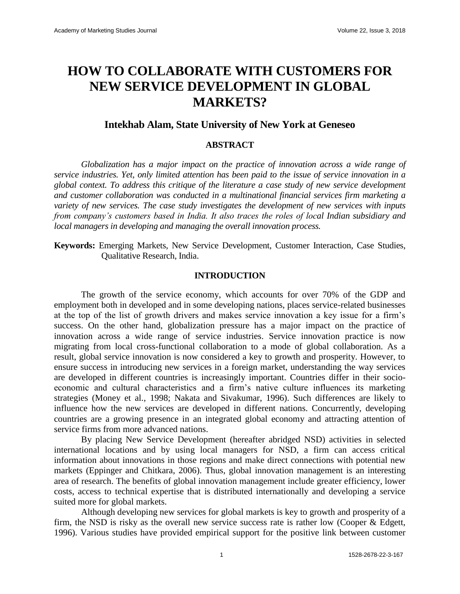# **HOW TO COLLABORATE WITH CUSTOMERS FOR NEW SERVICE DEVELOPMENT IN GLOBAL MARKETS?**

## **Intekhab Alam, State University of New York at Geneseo**

## **ABSTRACT**

*Globalization has a major impact on the practice of innovation across a wide range of service industries. Yet, only limited attention has been paid to the issue of service innovation in a global context. To address this critique of the literature a case study of new service development and customer collaboration was conducted in a multinational financial services firm marketing a variety of new services. The case study investigates the development of new services with inputs from company's customers based in India. It also traces the roles of local Indian subsidiary and local managers in developing and managing the overall innovation process.*

**Keywords:** Emerging Markets, New Service Development, Customer Interaction, Case Studies, Qualitative Research, India.

#### **INTRODUCTION**

The growth of the service economy, which accounts for over 70% of the GDP and employment both in developed and in some developing nations, places service-related businesses at the top of the list of growth drivers and makes service innovation a key issue for a firm's success. On the other hand, globalization pressure has a major impact on the practice of innovation across a wide range of service industries. Service innovation practice is now migrating from local cross-functional collaboration to a mode of global collaboration. As a result, global service innovation is now considered a key to growth and prosperity. However, to ensure success in introducing new services in a foreign market, understanding the way services are developed in different countries is increasingly important. Countries differ in their socioeconomic and cultural characteristics and a firm's native culture influences its marketing strategies (Money et al., 1998; Nakata and Sivakumar, 1996). Such differences are likely to influence how the new services are developed in different nations. Concurrently, developing countries are a growing presence in an integrated global economy and attracting attention of service firms from more advanced nations.

By placing New Service Development (hereafter abridged NSD) activities in selected international locations and by using local managers for NSD, a firm can access critical information about innovations in those regions and make direct connections with potential new markets (Eppinger and Chitkara, 2006). Thus, global innovation management is an interesting area of research. The benefits of global innovation management include greater efficiency, lower costs, access to technical expertise that is distributed internationally and developing a service suited more for global markets.

Although developing new services for global markets is key to growth and prosperity of a firm, the NSD is risky as the overall new service success rate is rather low (Cooper & Edgett, 1996). Various studies have provided empirical support for the positive link between customer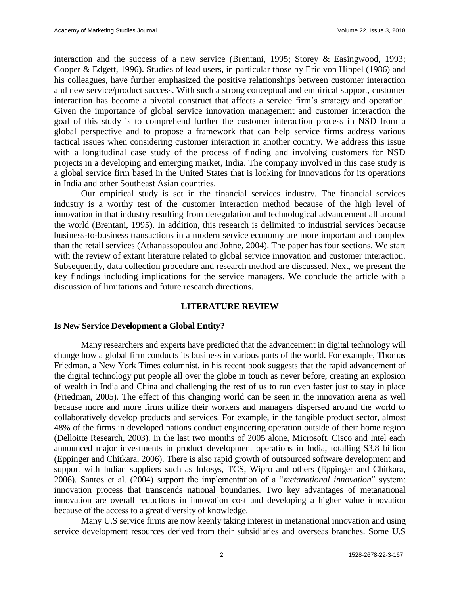interaction and the success of a new service (Brentani, 1995; Storey & Easingwood, 1993; Cooper & Edgett, 1996). Studies of lead users, in particular those by Eric von Hippel (1986) and his colleagues, have further emphasized the positive relationships between customer interaction and new service/product success. With such a strong conceptual and empirical support, customer interaction has become a pivotal construct that affects a service firm's strategy and operation. Given the importance of global service innovation management and customer interaction the goal of this study is to comprehend further the customer interaction process in NSD from a global perspective and to propose a framework that can help service firms address various tactical issues when considering customer interaction in another country. We address this issue with a longitudinal case study of the process of finding and involving customers for NSD projects in a developing and emerging market, India. The company involved in this case study is a global service firm based in the United States that is looking for innovations for its operations in India and other Southeast Asian countries.

Our empirical study is set in the financial services industry. The financial services industry is a worthy test of the customer interaction method because of the high level of innovation in that industry resulting from deregulation and technological advancement all around the world (Brentani, 1995). In addition, this research is delimited to industrial services because business-to-business transactions in a modern service economy are more important and complex than the retail services (Athanassopoulou and Johne, 2004). The paper has four sections. We start with the review of extant literature related to global service innovation and customer interaction. Subsequently, data collection procedure and research method are discussed. Next, we present the key findings including implications for the service managers. We conclude the article with a discussion of limitations and future research directions.

#### **LITERATURE REVIEW**

#### **Is New Service Development a Global Entity?**

Many researchers and experts have predicted that the advancement in digital technology will change how a global firm conducts its business in various parts of the world. For example, Thomas Friedman, a New York Times columnist, in his recent book suggests that the rapid advancement of the digital technology put people all over the globe in touch as never before, creating an explosion of wealth in India and China and challenging the rest of us to run even faster just to stay in place (Friedman, 2005). The effect of this changing world can be seen in the innovation arena as well because more and more firms utilize their workers and managers dispersed around the world to collaboratively develop products and services. For example, in the tangible product sector, almost 48% of the firms in developed nations conduct engineering operation outside of their home region (Delloitte Research, 2003). In the last two months of 2005 alone, Microsoft, Cisco and Intel each announced major investments in product development operations in India, totalling \$3.8 billion (Eppinger and Chitkara, 2006). There is also rapid growth of outsourced software development and support with Indian suppliers such as Infosys, TCS, Wipro and others (Eppinger and Chitkara, 2006). Santos et al. (2004) support the implementation of a "*metanational innovation*" system: innovation process that transcends national boundaries. Two key advantages of metanational innovation are overall reductions in innovation cost and developing a higher value innovation because of the access to a great diversity of knowledge.

Many U.S service firms are now keenly taking interest in metanational innovation and using service development resources derived from their subsidiaries and overseas branches. Some U.S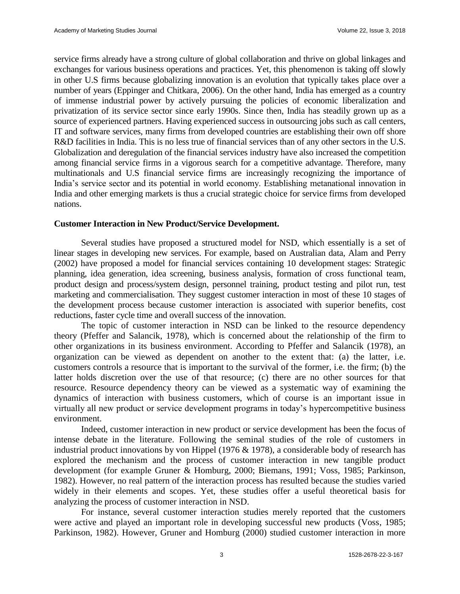service firms already have a strong culture of global collaboration and thrive on global linkages and exchanges for various business operations and practices. Yet, this phenomenon is taking off slowly in other U.S firms because globalizing innovation is an evolution that typically takes place over a number of years (Eppinger and Chitkara, 2006). On the other hand, India has emerged as a country of immense industrial power by actively pursuing the policies of economic liberalization and privatization of its service sector since early 1990s. Since then, India has steadily grown up as a source of experienced partners. Having experienced success in outsourcing jobs such as call centers, IT and software services, many firms from developed countries are establishing their own off shore R&D facilities in India. This is no less true of financial services than of any other sectors in the U.S. Globalization and deregulation of the financial services industry have also increased the competition among financial service firms in a vigorous search for a competitive advantage. Therefore, many multinationals and U.S financial service firms are increasingly recognizing the importance of India's service sector and its potential in world economy. Establishing metanational innovation in India and other emerging markets is thus a crucial strategic choice for service firms from developed nations.

#### **Customer Interaction in New Product/Service Development.**

Several studies have proposed a structured model for NSD, which essentially is a set of linear stages in developing new services. For example, based on Australian data, Alam and Perry (2002) have proposed a model for financial services containing 10 development stages: Strategic planning, idea generation, idea screening, business analysis, formation of cross functional team, product design and process/system design, personnel training, product testing and pilot run, test marketing and commercialisation. They suggest customer interaction in most of these 10 stages of the development process because customer interaction is associated with superior benefits, cost reductions, faster cycle time and overall success of the innovation.

The topic of customer interaction in NSD can be linked to the resource dependency theory (Pfeffer and Salancik, 1978), which is concerned about the relationship of the firm to other organizations in its business environment. According to Pfeffer and Salancik (1978), an organization can be viewed as dependent on another to the extent that: (a) the latter, i.e. customers controls a resource that is important to the survival of the former, i.e. the firm; (b) the latter holds discretion over the use of that resource; (c) there are no other sources for that resource. Resource dependency theory can be viewed as a systematic way of examining the dynamics of interaction with business customers, which of course is an important issue in virtually all new product or service development programs in today's hypercompetitive business environment.

Indeed, customer interaction in new product or service development has been the focus of intense debate in the literature. Following the seminal studies of the role of customers in industrial product innovations by von Hippel (1976 & 1978), a considerable body of research has explored the mechanism and the process of customer interaction in new tangible product development (for example Gruner & Homburg, 2000; Biemans, 1991; Voss, 1985; Parkinson, 1982). However, no real pattern of the interaction process has resulted because the studies varied widely in their elements and scopes. Yet, these studies offer a useful theoretical basis for analyzing the process of customer interaction in NSD.

For instance, several customer interaction studies merely reported that the customers were active and played an important role in developing successful new products (Voss, 1985; Parkinson, 1982). However, Gruner and Homburg (2000) studied customer interaction in more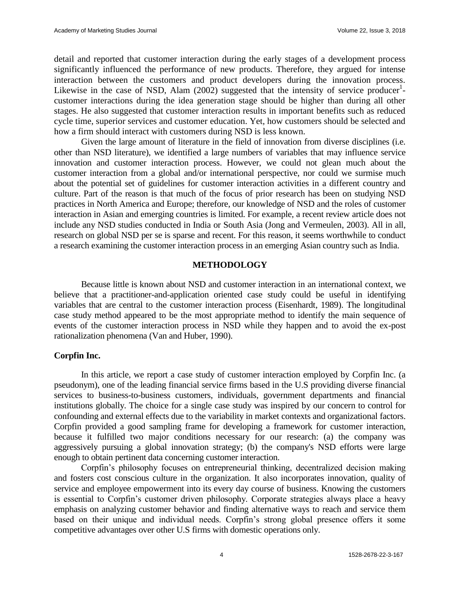detail and reported that customer interaction during the early stages of a development process significantly influenced the performance of new products. Therefore, they argued for intense interaction between the customers and product developers during the innovation process. Likewise in the case of NSD, Alam  $(2002)$  suggested that the intensity of service producer<sup>1</sup>customer interactions during the idea generation stage should be higher than during all other stages. He also suggested that customer interaction results in important benefits such as reduced cycle time, superior services and customer education. Yet, how customers should be selected and how a firm should interact with customers during NSD is less known.

Given the large amount of literature in the field of innovation from diverse disciplines (i.e. other than NSD literature), we identified a large numbers of variables that may influence service innovation and customer interaction process. However, we could not glean much about the customer interaction from a global and/or international perspective, nor could we surmise much about the potential set of guidelines for customer interaction activities in a different country and culture. Part of the reason is that much of the focus of prior research has been on studying NSD practices in North America and Europe; therefore, our knowledge of NSD and the roles of customer interaction in Asian and emerging countries is limited. For example, a recent review article does not include any NSD studies conducted in India or South Asia (Jong and Vermeulen, 2003). All in all, research on global NSD per se is sparse and recent. For this reason, it seems worthwhile to conduct a research examining the customer interaction process in an emerging Asian country such as India.

## **METHODOLOGY**

Because little is known about NSD and customer interaction in an international context, we believe that a practitioner-and-application oriented case study could be useful in identifying variables that are central to the customer interaction process (Eisenhardt, 1989). The longitudinal case study method appeared to be the most appropriate method to identify the main sequence of events of the customer interaction process in NSD while they happen and to avoid the ex-post rationalization phenomena (Van and Huber, 1990).

#### **Corpfin Inc.**

In this article, we report a case study of customer interaction employed by Corpfin Inc. (a pseudonym), one of the leading financial service firms based in the U.S providing diverse financial services to business-to-business customers, individuals, government departments and financial institutions globally. The choice for a single case study was inspired by our concern to control for confounding and external effects due to the variability in market contexts and organizational factors. Corpfin provided a good sampling frame for developing a framework for customer interaction, because it fulfilled two major conditions necessary for our research: (a) the company was aggressively pursuing a global innovation strategy; (b) the company's NSD efforts were large enough to obtain pertinent data concerning customer interaction.

Corpfin's philosophy focuses on entrepreneurial thinking, decentralized decision making and fosters cost conscious culture in the organization. It also incorporates innovation, quality of service and employee empowerment into its every day course of business. Knowing the customers is essential to Corpfin's customer driven philosophy. Corporate strategies always place a heavy emphasis on analyzing customer behavior and finding alternative ways to reach and service them based on their unique and individual needs. Corpfin's strong global presence offers it some competitive advantages over other U.S firms with domestic operations only.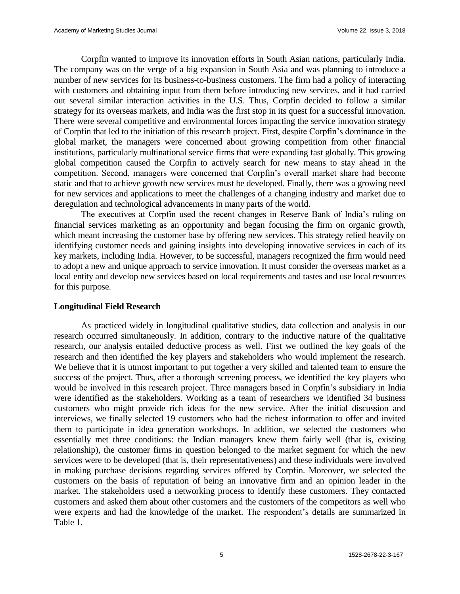Corpfin wanted to improve its innovation efforts in South Asian nations, particularly India. The company was on the verge of a big expansion in South Asia and was planning to introduce a number of new services for its business-to-business customers. The firm had a policy of interacting with customers and obtaining input from them before introducing new services, and it had carried out several similar interaction activities in the U.S. Thus, Corpfin decided to follow a similar strategy for its overseas markets, and India was the first stop in its quest for a successful innovation. There were several competitive and environmental forces impacting the service innovation strategy of Corpfin that led to the initiation of this research project. First, despite Corpfin's dominance in the global market, the managers were concerned about growing competition from other financial institutions, particularly multinational service firms that were expanding fast globally. This growing global competition caused the Corpfin to actively search for new means to stay ahead in the competition. Second, managers were concerned that Corpfin's overall market share had become static and that to achieve growth new services must be developed. Finally, there was a growing need for new services and applications to meet the challenges of a changing industry and market due to deregulation and technological advancements in many parts of the world.

The executives at Corpfin used the recent changes in Reserve Bank of India's ruling on financial services marketing as an opportunity and began focusing the firm on organic growth, which meant increasing the customer base by offering new services. This strategy relied heavily on identifying customer needs and gaining insights into developing innovative services in each of its key markets, including India. However, to be successful, managers recognized the firm would need to adopt a new and unique approach to service innovation. It must consider the overseas market as a local entity and develop new services based on local requirements and tastes and use local resources for this purpose.

#### **Longitudinal Field Research**

As practiced widely in longitudinal qualitative studies, data collection and analysis in our research occurred simultaneously. In addition, contrary to the inductive nature of the qualitative research, our analysis entailed deductive process as well. First we outlined the key goals of the research and then identified the key players and stakeholders who would implement the research. We believe that it is utmost important to put together a very skilled and talented team to ensure the success of the project. Thus, after a thorough screening process, we identified the key players who would be involved in this research project. Three managers based in Corpfin's subsidiary in India were identified as the stakeholders. Working as a team of researchers we identified 34 business customers who might provide rich ideas for the new service. After the initial discussion and interviews, we finally selected 19 customers who had the richest information to offer and invited them to participate in idea generation workshops. In addition, we selected the customers who essentially met three conditions: the Indian managers knew them fairly well (that is, existing relationship), the customer firms in question belonged to the market segment for which the new services were to be developed (that is, their representativeness) and these individuals were involved in making purchase decisions regarding services offered by Corpfin. Moreover, we selected the customers on the basis of reputation of being an innovative firm and an opinion leader in the market. The stakeholders used a networking process to identify these customers. They contacted customers and asked them about other customers and the customers of the competitors as well who were experts and had the knowledge of the market. The respondent's details are summarized in Table 1.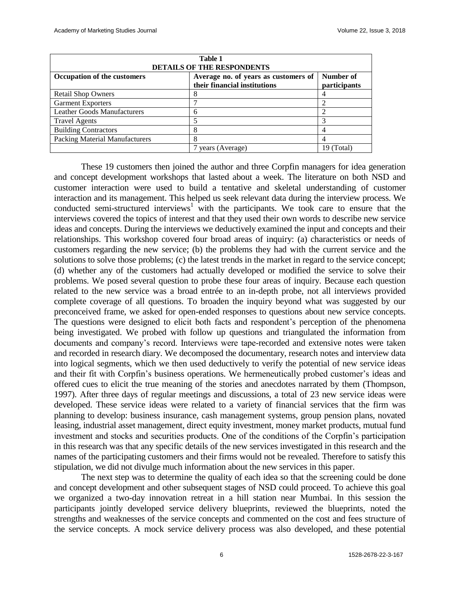| <b>Table 1</b>                        |                                      |              |
|---------------------------------------|--------------------------------------|--------------|
| <b>DETAILS OF THE RESPONDENTS</b>     |                                      |              |
| <b>Occupation of the customers</b>    | Average no. of years as customers of | Number of    |
|                                       | their financial institutions         | participants |
| <b>Retail Shop Owners</b>             |                                      |              |
| <b>Garment Exporters</b>              |                                      |              |
| <b>Leather Goods Manufacturers</b>    | 6                                    |              |
| <b>Travel Agents</b>                  |                                      |              |
| <b>Building Contractors</b>           |                                      |              |
| <b>Packing Material Manufacturers</b> | 8                                    |              |
|                                       | years (Average)                      | 19 (Total)   |

These 19 customers then joined the author and three Corpfin managers for idea generation and concept development workshops that lasted about a week. The literature on both NSD and customer interaction were used to build a tentative and skeletal understanding of customer interaction and its management. This helped us seek relevant data during the interview process. We conducted semi-structured interviews<sup>1</sup> with the participants. We took care to ensure that the interviews covered the topics of interest and that they used their own words to describe new service ideas and concepts. During the interviews we deductively examined the input and concepts and their relationships. This workshop covered four broad areas of inquiry: (a) characteristics or needs of customers regarding the new service; (b) the problems they had with the current service and the solutions to solve those problems; (c) the latest trends in the market in regard to the service concept; (d) whether any of the customers had actually developed or modified the service to solve their problems. We posed several question to probe these four areas of inquiry. Because each question related to the new service was a broad entrée to an in-depth probe, not all interviews provided complete coverage of all questions. To broaden the inquiry beyond what was suggested by our preconceived frame, we asked for open-ended responses to questions about new service concepts. The questions were designed to elicit both facts and respondent's perception of the phenomena being investigated. We probed with follow up questions and triangulated the information from documents and company's record. Interviews were tape-recorded and extensive notes were taken and recorded in research diary. We decomposed the documentary, research notes and interview data into logical segments, which we then used deductively to verify the potential of new service ideas and their fit with Corpfin's business operations. We hermeneutically probed customer's ideas and offered cues to elicit the true meaning of the stories and anecdotes narrated by them (Thompson, 1997). After three days of regular meetings and discussions, a total of 23 new service ideas were developed. These service ideas were related to a variety of financial services that the firm was planning to develop: business insurance, cash management systems, group pension plans, novated leasing, industrial asset management, direct equity investment, money market products, mutual fund investment and stocks and securities products. One of the conditions of the Corpfin's participation in this research was that any specific details of the new services investigated in this research and the names of the participating customers and their firms would not be revealed. Therefore to satisfy this stipulation, we did not divulge much information about the new services in this paper.

The next step was to determine the quality of each idea so that the screening could be done and concept development and other subsequent stages of NSD could proceed. To achieve this goal we organized a two-day innovation retreat in a hill station near Mumbai. In this session the participants jointly developed service delivery blueprints, reviewed the blueprints, noted the strengths and weaknesses of the service concepts and commented on the cost and fees structure of the service concepts. A mock service delivery process was also developed, and these potential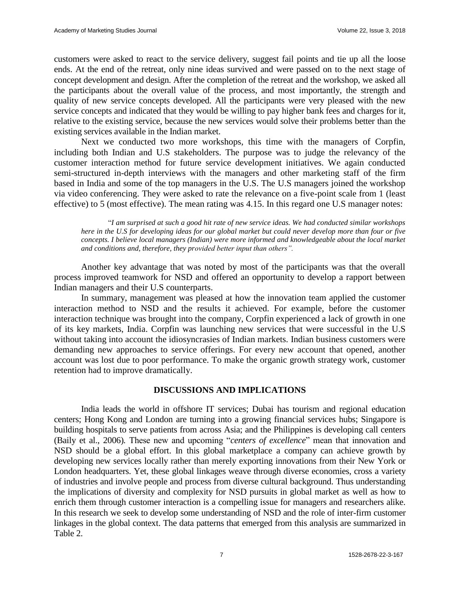customers were asked to react to the service delivery, suggest fail points and tie up all the loose ends. At the end of the retreat, only nine ideas survived and were passed on to the next stage of concept development and design. After the completion of the retreat and the workshop, we asked all the participants about the overall value of the process, and most importantly, the strength and quality of new service concepts developed. All the participants were very pleased with the new service concepts and indicated that they would be willing to pay higher bank fees and charges for it, relative to the existing service, because the new services would solve their problems better than the existing services available in the Indian market.

Next we conducted two more workshops, this time with the managers of Corpfin, including both Indian and U.S stakeholders. The purpose was to judge the relevancy of the customer interaction method for future service development initiatives. We again conducted semi-structured in-depth interviews with the managers and other marketing staff of the firm based in India and some of the top managers in the U.S. The U.S managers joined the workshop via video conferencing. They were asked to rate the relevance on a five-point scale from 1 (least effective) to 5 (most effective). The mean rating was 4.15. In this regard one U.S manager notes:

"*I am surprised at such a good hit rate of new service ideas. We had conducted similar workshops here in the U.S for developing ideas for our global market but could never develop more than four or five concepts. I believe local managers (Indian) were more informed and knowledgeable about the local market and conditions and, therefore, they provided better input than others".*

Another key advantage that was noted by most of the participants was that the overall process improved teamwork for NSD and offered an opportunity to develop a rapport between Indian managers and their U.S counterparts.

In summary, management was pleased at how the innovation team applied the customer interaction method to NSD and the results it achieved. For example, before the customer interaction technique was brought into the company, Corpfin experienced a lack of growth in one of its key markets, India. Corpfin was launching new services that were successful in the U.S without taking into account the idiosyncrasies of Indian markets. Indian business customers were demanding new approaches to service offerings. For every new account that opened, another account was lost due to poor performance. To make the organic growth strategy work, customer retention had to improve dramatically.

#### **DISCUSSIONS AND IMPLICATIONS**

India leads the world in offshore IT services; Dubai has tourism and regional education centers; Hong Kong and London are turning into a growing financial services hubs; Singapore is building hospitals to serve patients from across Asia; and the Philippines is developing call centers (Baily et al., 2006)*.* These new and upcoming "*centers of excellence*" mean that innovation and NSD should be a global effort. In this global marketplace a company can achieve growth by developing new services locally rather than merely exporting innovations from their New York or London headquarters. Yet, these global linkages weave through diverse economies, cross a variety of industries and involve people and process from diverse cultural background. Thus understanding the implications of diversity and complexity for NSD pursuits in global market as well as how to enrich them through customer interaction is a compelling issue for managers and researchers alike. In this research we seek to develop some understanding of NSD and the role of inter-firm customer linkages in the global context. The data patterns that emerged from this analysis are summarized in Table 2.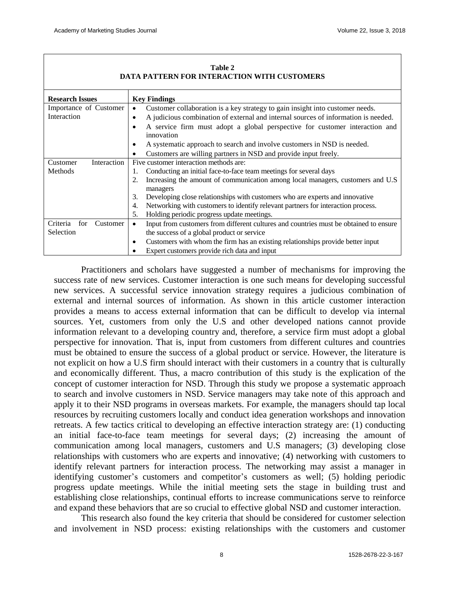| DATA FATTENN FON INTENACTION WITH COSTOMENS |                                                                                                   |  |
|---------------------------------------------|---------------------------------------------------------------------------------------------------|--|
| <b>Research Issues</b>                      | <b>Key Findings</b>                                                                               |  |
| Importance of Customer                      | Customer collaboration is a key strategy to gain insight into customer needs.                     |  |
| Interaction                                 | A judicious combination of external and internal sources of information is needed.                |  |
|                                             | A service firm must adopt a global perspective for customer interaction and<br>innovation         |  |
|                                             | A systematic approach to search and involve customers in NSD is needed.                           |  |
|                                             | Customers are willing partners in NSD and provide input freely.                                   |  |
| Interaction<br>Customer                     | Five customer interaction methods are:                                                            |  |
| Methods                                     | Conducting an initial face-to-face team meetings for several days                                 |  |
|                                             | Increasing the amount of communication among local managers, customers and U.S.<br>2.<br>managers |  |
|                                             | Developing close relationships with customers who are experts and innovative<br>3.                |  |
|                                             | Networking with customers to identify relevant partners for interaction process.<br>4.            |  |
|                                             | Holding periodic progress update meetings.<br>5.                                                  |  |
| Criteria<br>for<br>Customer                 | Input from customers from different cultures and countries must be obtained to ensure             |  |
| Selection                                   | the success of a global product or service                                                        |  |
|                                             | Customers with whom the firm has an existing relationships provide better input<br>٠              |  |
|                                             | Expert customers provide rich data and input                                                      |  |

**Table 2 DATA PATTERN FOR INTERACTION WITH CUSTOMERS**

Practitioners and scholars have suggested a number of mechanisms for improving the success rate of new services. Customer interaction is one such means for developing successful new services. A successful service innovation strategy requires a judicious combination of external and internal sources of information. As shown in this article customer interaction provides a means to access external information that can be difficult to develop via internal sources. Yet, customers from only the U.S and other developed nations cannot provide information relevant to a developing country and, therefore, a service firm must adopt a global perspective for innovation. That is, input from customers from different cultures and countries must be obtained to ensure the success of a global product or service. However, the literature is not explicit on how a U.S firm should interact with their customers in a country that is culturally and economically different. Thus, a macro contribution of this study is the explication of the concept of customer interaction for NSD. Through this study we propose a systematic approach to search and involve customers in NSD. Service managers may take note of this approach and apply it to their NSD programs in overseas markets. For example, the managers should tap local resources by recruiting customers locally and conduct idea generation workshops and innovation retreats. A few tactics critical to developing an effective interaction strategy are: (1) conducting an initial face-to-face team meetings for several days; (2) increasing the amount of communication among local managers, customers and U.S managers; (3) developing close relationships with customers who are experts and innovative; (4) networking with customers to identify relevant partners for interaction process. The networking may assist a manager in identifying customer's customers and competitor's customers as well; (5) holding periodic progress update meetings. While the initial meeting sets the stage in building trust and establishing close relationships, continual efforts to increase communications serve to reinforce and expand these behaviors that are so crucial to effective global NSD and customer interaction.

This research also found the key criteria that should be considered for customer selection and involvement in NSD process: existing relationships with the customers and customer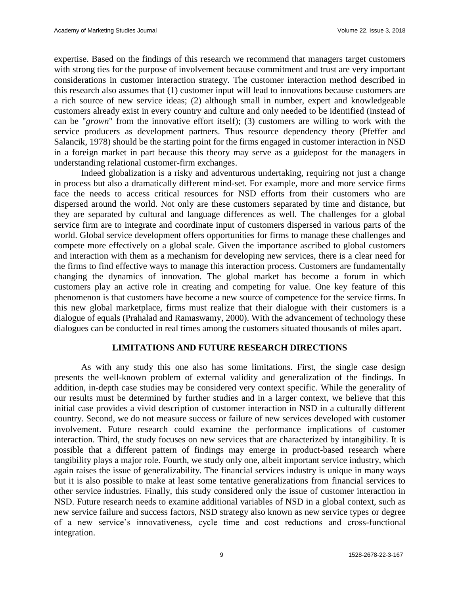expertise. Based on the findings of this research we recommend that managers target customers with strong ties for the purpose of involvement because commitment and trust are very important considerations in customer interaction strategy. The customer interaction method described in this research also assumes that (1) customer input will lead to innovations because customers are a rich source of new service ideas; (2) although small in number, expert and knowledgeable customers already exist in every country and culture and only needed to be identified (instead of can be "*grown*" from the innovative effort itself); (3) customers are willing to work with the service producers as development partners. Thus resource dependency theory (Pfeffer and Salancik, 1978) should be the starting point for the firms engaged in customer interaction in NSD in a foreign market in part because this theory may serve as a guidepost for the managers in understanding relational customer-firm exchanges.

Indeed globalization is a risky and adventurous undertaking, requiring not just a change in process but also a dramatically different mind-set. For example, more and more service firms face the needs to access critical resources for NSD efforts from their customers who are dispersed around the world. Not only are these customers separated by time and distance, but they are separated by cultural and language differences as well. The challenges for a global service firm are to integrate and coordinate input of customers dispersed in various parts of the world. Global service development offers opportunities for firms to manage these challenges and compete more effectively on a global scale. Given the importance ascribed to global customers and interaction with them as a mechanism for developing new services, there is a clear need for the firms to find effective ways to manage this interaction process. Customers are fundamentally changing the dynamics of innovation. The global market has become a forum in which customers play an active role in creating and competing for value. One key feature of this phenomenon is that customers have become a new source of competence for the service firms. In this new global marketplace, firms must realize that their dialogue with their customers is a dialogue of equals (Prahalad and Ramaswamy, 2000). With the advancement of technology these dialogues can be conducted in real times among the customers situated thousands of miles apart.

## **LIMITATIONS AND FUTURE RESEARCH DIRECTIONS**

As with any study this one also has some limitations. First, the single case design presents the well-known problem of external validity and generalization of the findings. In addition, in-depth case studies may be considered very context specific. While the generality of our results must be determined by further studies and in a larger context, we believe that this initial case provides a vivid description of customer interaction in NSD in a culturally different country. Second, we do not measure success or failure of new services developed with customer involvement. Future research could examine the performance implications of customer interaction. Third, the study focuses on new services that are characterized by intangibility. It is possible that a different pattern of findings may emerge in product-based research where tangibility plays a major role. Fourth, we study only one, albeit important service industry, which again raises the issue of generalizability. The financial services industry is unique in many ways but it is also possible to make at least some tentative generalizations from financial services to other service industries. Finally, this study considered only the issue of customer interaction in NSD. Future research needs to examine additional variables of NSD in a global context, such as new service failure and success factors, NSD strategy also known as new service types or degree of a new service's innovativeness, cycle time and cost reductions and cross-functional integration.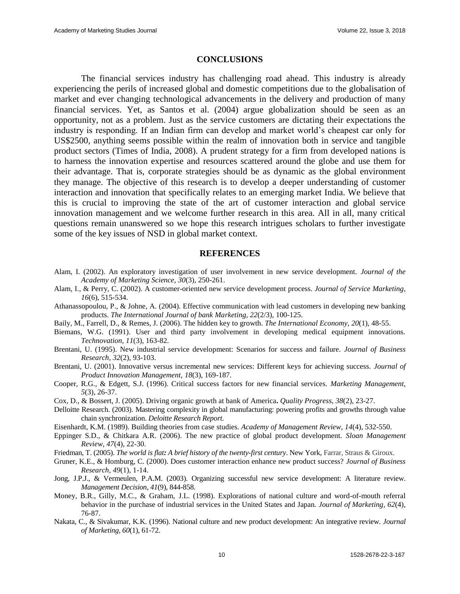#### **CONCLUSIONS**

The financial services industry has challenging road ahead. This industry is already experiencing the perils of increased global and domestic competitions due to the globalisation of market and ever changing technological advancements in the delivery and production of many financial services. Yet, as Santos et al. (2004) argue globalization should be seen as an opportunity, not as a problem. Just as the service customers are dictating their expectations the industry is responding. If an Indian firm can develop and market world's cheapest car only for US\$2500, anything seems possible within the realm of innovation both in service and tangible product sectors (Times of India, 2008). A prudent strategy for a firm from developed nations is to harness the innovation expertise and resources scattered around the globe and use them for their advantage. That is, corporate strategies should be as dynamic as the global environment they manage. The objective of this research is to develop a deeper understanding of customer interaction and innovation that specifically relates to an emerging market India. We believe that this is crucial to improving the state of the art of customer interaction and global service innovation management and we welcome further research in this area. All in all, many critical questions remain unanswered so we hope this research intrigues scholars to further investigate some of the key issues of NSD in global market context.

#### **REFERENCES**

- Alam, I. (2002). An exploratory investigation of user involvement in new service development. *Journal of the Academy of Marketing Science, 30*(3), 250-261.
- Alam, I., & Perry, C. (2002). A customer-oriented new service development process. *Journal of Service Marketing*, *16*(6), 515-534.
- Athanassopoulou, P., & Johne, A. (2004). Effective communication with lead customers in developing new banking products. *The International Journal of bank Marketing, 22*(2/3), 100-125.
- Baily, M., Farrell, D., & Remes, J. (2006). The hidden key to growth. *The International Economy, 20*(1), 48-55.
- Biemans, W.G. (1991). User and third party involvement in developing medical equipment innovations. *Technovation*, *11*(3), 163-82.
- Brentani, U. (1995). New industrial service development: Scenarios for success and failure. *Journal of Business Research*, *32*(2), 93-103.
- Brentani, U. (2001). Innovative versus incremental new services: Different keys for achieving success. *Journal of Product Innovation Management, 18*(3), 169-187.
- Cooper, R.G., & Edgett, S.J. (1996). Critical success factors for new financial services. *Marketing Management*, *5*(3), 26-37.
- Cox*,* D., & Bossert, J. (2005). Driving organic growth at bank of America**.** *Quality Progress*, *38*(2), 23-27.
- Delloitte Research. (2003). Mastering complexity in global manufacturing: powering profits and growths through value chain synchronization. *Deloitte Research Report*.
- Eisenhardt, K.M. (1989). Building theories from case studies. *Academy of Management Review*, *14*(4), 532-550.
- Eppinger S.D., & Chitkara A.R. (2006). The new practice of global product development. *Sloan Management Review*, *47*(4), 22-30.
- Friedman, T. (2005). *The world is flat: A brief history of the twenty-first century*. New York, Farrar, Straus & Giroux.
- Gruner, K.E., & Homburg, C. (2000). Does customer interaction enhance new product success? *Journal of Business Research*, *49*(1), 1-14.
- Jong, J.P.J., & Vermeulen, P.A.M. (2003). Organizing successful new service development: A literature review. *Management Decision*, *41*(9), 844-858.
- Money, B.R., Gilly, M.C., & Graham, J.L. (1998). Explorations of national culture and word-of-mouth referral behavior in the purchase of industrial services in the United States and Japan. *Journal of Marketing, 62*(4), 76-87.
- Nakata, C., & Sivakumar, K.K. (1996). National culture and new product development: An integrative review. *Journal of Marketing, 60*(1), 61-72.